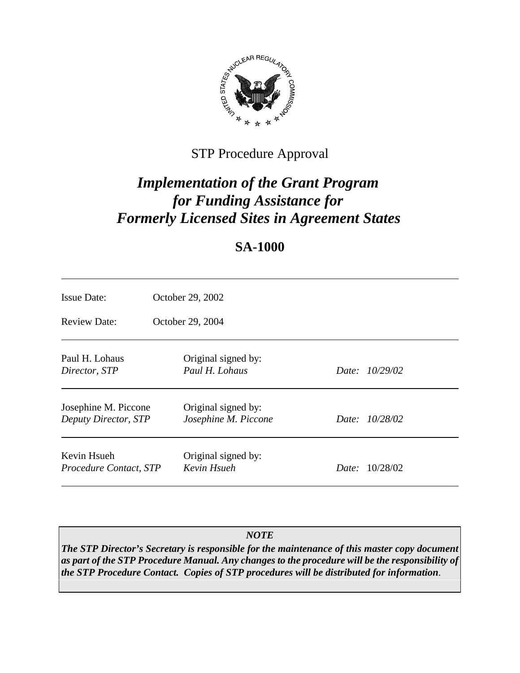

# STP Procedure Approval

# *Implementation of the Grant Program for Funding Assistance for Formerly Licensed Sites in Agreement States*

## **SA-1000**

| <b>Issue Date:</b>                           | October 29, 2002                            |                       |
|----------------------------------------------|---------------------------------------------|-----------------------|
| Review Date:                                 | October 29, 2004                            |                       |
| Paul H. Lohaus<br>Director, STP              | Original signed by:<br>Paul H. Lohaus       | Date: 10/29/02        |
| Josephine M. Piccone<br>Deputy Director, STP | Original signed by:<br>Josephine M. Piccone | Date: 10/28/02        |
| Kevin Hsueh<br>Procedure Contact, STP        | Original signed by:<br>Kevin Hsueh          | <i>Date:</i> 10/28/02 |

## *NOTE*

*The STP Director's Secretary is responsible for the maintenance of this master copy document as part of the STP Procedure Manual. Any changes to the procedure will be the responsibility of the STP Procedure Contact. Copies of STP procedures will be distributed for information.*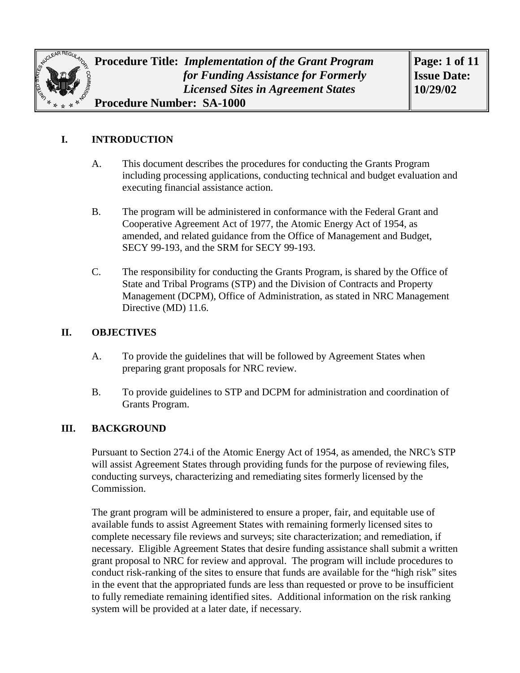

## **I. INTRODUCTION**

- A. This document describes the procedures for conducting the Grants Program including processing applications, conducting technical and budget evaluation and executing financial assistance action.
- B. The program will be administered in conformance with the Federal Grant and Cooperative Agreement Act of 1977, the Atomic Energy Act of 1954, as amended, and related guidance from the Office of Management and Budget, SECY 99-193, and the SRM for SECY 99-193.
- C. The responsibility for conducting the Grants Program, is shared by the Office of State and Tribal Programs (STP) and the Division of Contracts and Property Management (DCPM), Office of Administration, as stated in NRC Management Directive (MD) 11.6.

#### **II. OBJECTIVES**

- A. To provide the guidelines that will be followed by Agreement States when preparing grant proposals for NRC review.
- B. To provide guidelines to STP and DCPM for administration and coordination of Grants Program.

#### **III. BACKGROUND**

 Pursuant to Section 274.i of the Atomic Energy Act of 1954, as amended, the NRC's STP will assist Agreement States through providing funds for the purpose of reviewing files, conducting surveys, characterizing and remediating sites formerly licensed by the Commission.

The grant program will be administered to ensure a proper, fair, and equitable use of available funds to assist Agreement States with remaining formerly licensed sites to complete necessary file reviews and surveys; site characterization; and remediation, if necessary. Eligible Agreement States that desire funding assistance shall submit a written grant proposal to NRC for review and approval. The program will include procedures to conduct risk-ranking of the sites to ensure that funds are available for the "high risk" sites in the event that the appropriated funds are less than requested or prove to be insufficient to fully remediate remaining identified sites. Additional information on the risk ranking system will be provided at a later date, if necessary.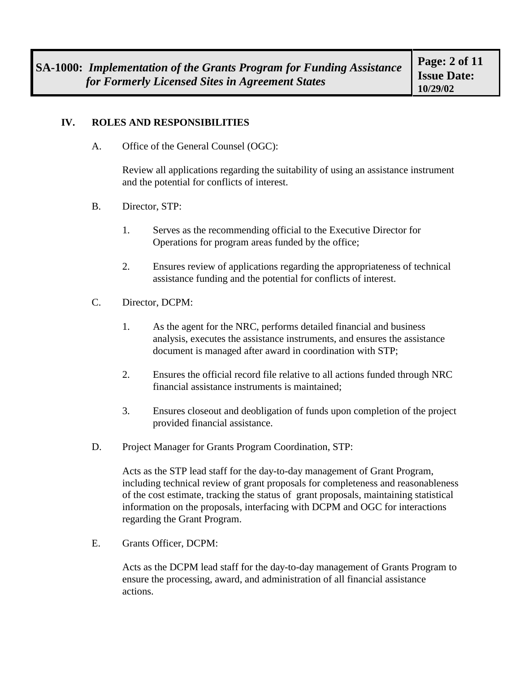#### **IV. ROLES AND RESPONSIBILITIES**

A. Office of the General Counsel (OGC):

Review all applications regarding the suitability of using an assistance instrument and the potential for conflicts of interest.

- B. Director, STP:
	- 1. Serves as the recommending official to the Executive Director for Operations for program areas funded by the office;
	- 2. Ensures review of applications regarding the appropriateness of technical assistance funding and the potential for conflicts of interest.
- C. Director, DCPM:
	- 1. As the agent for the NRC, performs detailed financial and business analysis, executes the assistance instruments, and ensures the assistance document is managed after award in coordination with STP;
	- 2. Ensures the official record file relative to all actions funded through NRC financial assistance instruments is maintained;
	- 3. Ensures closeout and deobligation of funds upon completion of the project provided financial assistance.
- D. Project Manager for Grants Program Coordination, STP:

Acts as the STP lead staff for the day-to-day management of Grant Program, including technical review of grant proposals for completeness and reasonableness of the cost estimate, tracking the status of grant proposals, maintaining statistical information on the proposals, interfacing with DCPM and OGC for interactions regarding the Grant Program.

E. Grants Officer, DCPM:

Acts as the DCPM lead staff for the day-to-day management of Grants Program to ensure the processing, award, and administration of all financial assistance actions.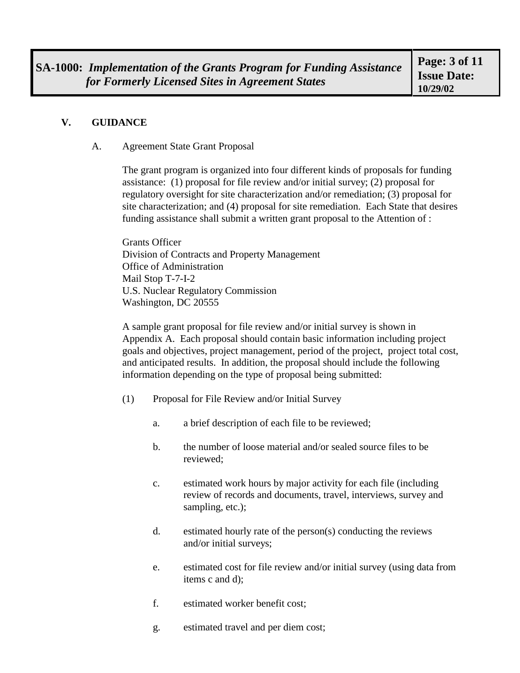#### **V. GUIDANCE**

#### A. Agreement State Grant Proposal

The grant program is organized into four different kinds of proposals for funding assistance: (1) proposal for file review and/or initial survey; (2) proposal for regulatory oversight for site characterization and/or remediation; (3) proposal for site characterization; and (4) proposal for site remediation. Each State that desires funding assistance shall submit a written grant proposal to the Attention of :

Grants Officer Division of Contracts and Property Management Office of Administration Mail Stop T-7-I-2 U.S. Nuclear Regulatory Commission Washington, DC 20555

A sample grant proposal for file review and/or initial survey is shown in Appendix A. Each proposal should contain basic information including project goals and objectives, project management, period of the project, project total cost, and anticipated results. In addition, the proposal should include the following information depending on the type of proposal being submitted:

- (1) Proposal for File Review and/or Initial Survey
	- a. a brief description of each file to be reviewed;
	- b. the number of loose material and/or sealed source files to be reviewed;
	- c. estimated work hours by major activity for each file (including review of records and documents, travel, interviews, survey and sampling, etc.);
	- d. estimated hourly rate of the person(s) conducting the reviews and/or initial surveys;
	- e. estimated cost for file review and/or initial survey (using data from items c and d);
	- f. estimated worker benefit cost;
	- g. estimated travel and per diem cost;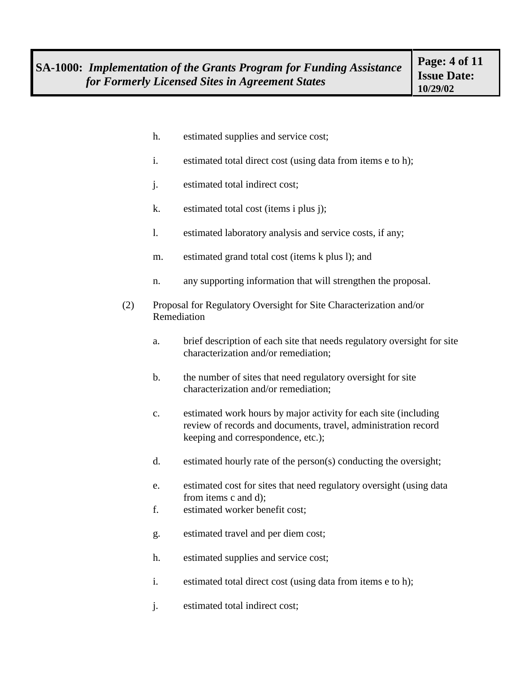- h. estimated supplies and service cost;
- i. estimated total direct cost (using data from items e to h);
- j. estimated total indirect cost;
- k. estimated total cost (items i plus j);
- l. estimated laboratory analysis and service costs, if any;
- m. estimated grand total cost (items k plus l); and
- n. any supporting information that will strengthen the proposal.
- (2) Proposal for Regulatory Oversight for Site Characterization and/or Remediation
	- a. brief description of each site that needs regulatory oversight for site characterization and/or remediation;
	- b. the number of sites that need regulatory oversight for site characterization and/or remediation;
	- c. estimated work hours by major activity for each site (including review of records and documents, travel, administration record keeping and correspondence, etc.);
	- d. estimated hourly rate of the person(s) conducting the oversight;
	- e. estimated cost for sites that need regulatory oversight (using data from items c and d);
	- f. estimated worker benefit cost;
	- g. estimated travel and per diem cost;
	- h. estimated supplies and service cost;
	- i. estimated total direct cost (using data from items e to h);
	- j. estimated total indirect cost;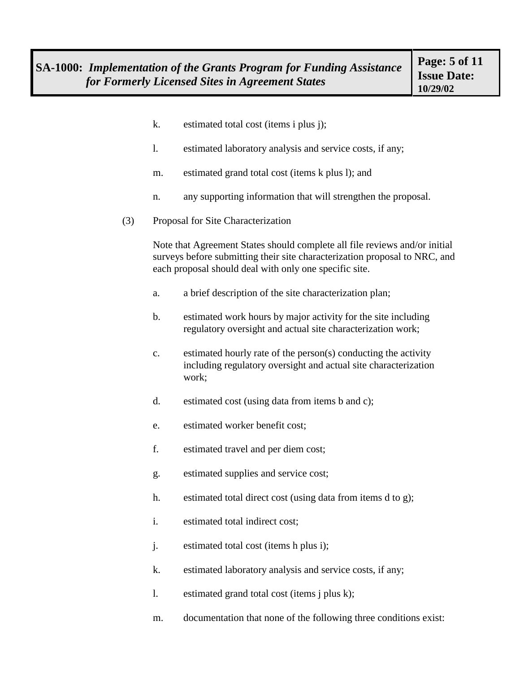- k. estimated total cost (items i plus j);
- l. estimated laboratory analysis and service costs, if any;
- m. estimated grand total cost (items k plus l); and
- n. any supporting information that will strengthen the proposal.
- (3) Proposal for Site Characterization

Note that Agreement States should complete all file reviews and/or initial surveys before submitting their site characterization proposal to NRC, and each proposal should deal with only one specific site.

- a. a brief description of the site characterization plan;
- b. estimated work hours by major activity for the site including regulatory oversight and actual site characterization work;
- c. estimated hourly rate of the person(s) conducting the activity including regulatory oversight and actual site characterization work;
- d. estimated cost (using data from items b and c);
- e. estimated worker benefit cost;
- f. estimated travel and per diem cost;
- g. estimated supplies and service cost;
- h. estimated total direct cost (using data from items d to g);
- i. estimated total indirect cost;
- j. estimated total cost (items h plus i);
- k. estimated laboratory analysis and service costs, if any;
- l. estimated grand total cost (items j plus k);
- m. documentation that none of the following three conditions exist: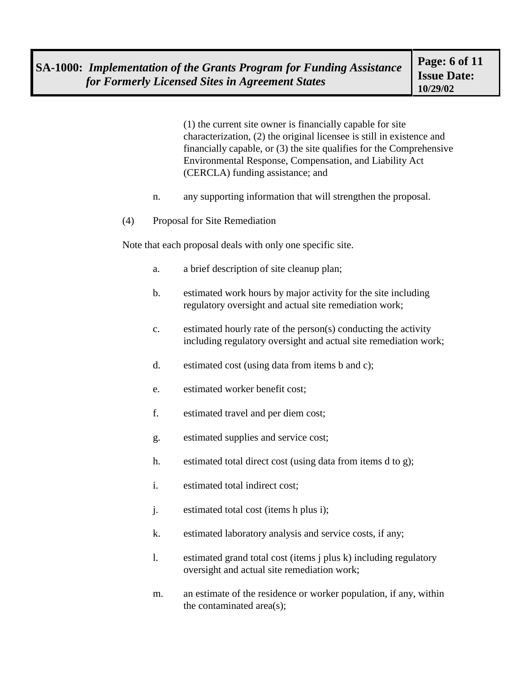(1) the current site owner is financially capable for site characterization, (2) the original licensee is still in existence and financially capable, or (3) the site qualifies for the Comprehensive Environmental Response, Compensation, and Liability Act (CERCLA) funding assistance; and

- n. any supporting information that will strengthen the proposal.
- (4) Proposal for Site Remediation

Note that each proposal deals with only one specific site.

- a. a brief description of site cleanup plan;
- b. estimated work hours by major activity for the site including regulatory oversight and actual site remediation work;
- c. estimated hourly rate of the person(s) conducting the activity including regulatory oversight and actual site remediation work;
- d. estimated cost (using data from items b and c);
- e. estimated worker benefit cost;
- f. estimated travel and per diem cost;
- g. estimated supplies and service cost;
- h. estimated total direct cost (using data from items d to g);
- i. estimated total indirect cost;
- j. estimated total cost (items h plus i);
- k. estimated laboratory analysis and service costs, if any;
- l. estimated grand total cost (items j plus k) including regulatory oversight and actual site remediation work;
- m. an estimate of the residence or worker population, if any, within the contaminated area(s);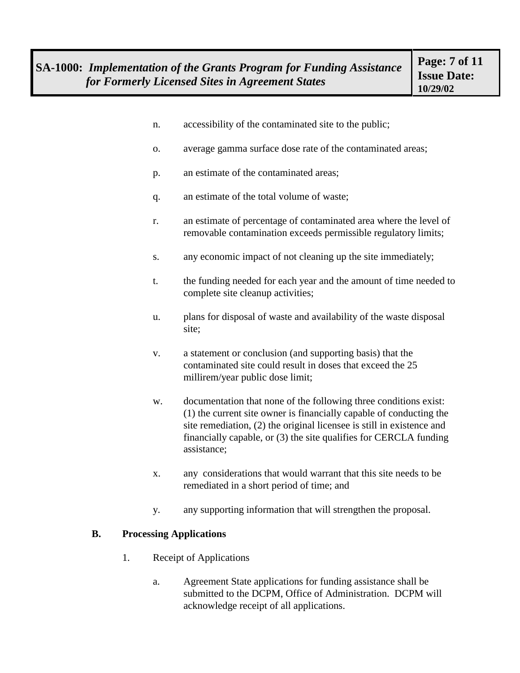- n. accessibility of the contaminated site to the public;
- o. average gamma surface dose rate of the contaminated areas;
- p. an estimate of the contaminated areas;
- q. an estimate of the total volume of waste;
- r. an estimate of percentage of contaminated area where the level of removable contamination exceeds permissible regulatory limits;
- s. any economic impact of not cleaning up the site immediately;
- t. the funding needed for each year and the amount of time needed to complete site cleanup activities;
- u. plans for disposal of waste and availability of the waste disposal site;
- v. a statement or conclusion (and supporting basis) that the contaminated site could result in doses that exceed the 25 millirem/year public dose limit;
- w. documentation that none of the following three conditions exist: (1) the current site owner is financially capable of conducting the site remediation, (2) the original licensee is still in existence and financially capable, or (3) the site qualifies for CERCLA funding assistance;
- x. any considerations that would warrant that this site needs to be remediated in a short period of time; and
- y. any supporting information that will strengthen the proposal.

#### **B. Processing Applications**

- 1. Receipt of Applications
	- a. Agreement State applications for funding assistance shall be submitted to the DCPM, Office of Administration. DCPM will acknowledge receipt of all applications.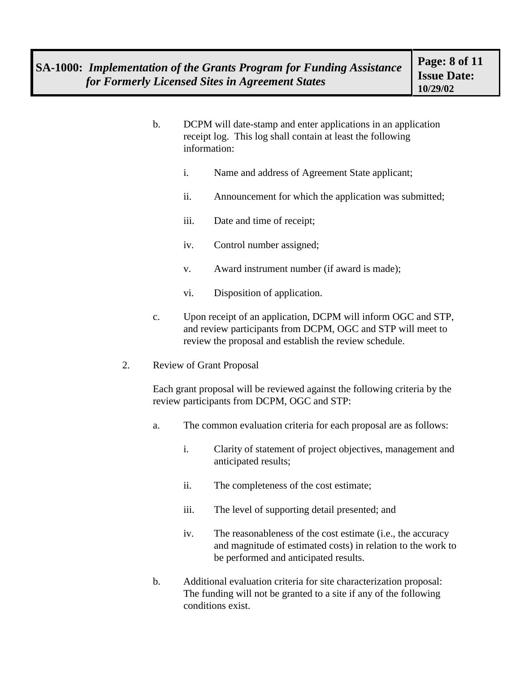- b. DCPM will date-stamp and enter applications in an application receipt log. This log shall contain at least the following information:
	- i. Name and address of Agreement State applicant;
	- ii. Announcement for which the application was submitted;
	- iii. Date and time of receipt;
	- iv. Control number assigned;
	- v. Award instrument number (if award is made);
	- vi. Disposition of application.
- c. Upon receipt of an application, DCPM will inform OGC and STP, and review participants from DCPM, OGC and STP will meet to review the proposal and establish the review schedule.
- 2. Review of Grant Proposal

Each grant proposal will be reviewed against the following criteria by the review participants from DCPM, OGC and STP:

- a. The common evaluation criteria for each proposal are as follows:
	- i. Clarity of statement of project objectives, management and anticipated results;
	- ii. The completeness of the cost estimate;
	- iii. The level of supporting detail presented; and
	- iv. The reasonableness of the cost estimate (i.e., the accuracy and magnitude of estimated costs) in relation to the work to be performed and anticipated results.
- b. Additional evaluation criteria for site characterization proposal: The funding will not be granted to a site if any of the following conditions exist.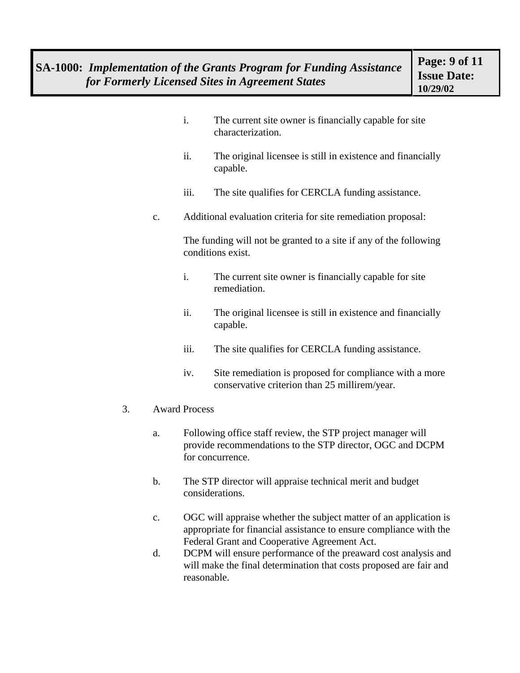- i. The current site owner is financially capable for site characterization.
- ii. The original licensee is still in existence and financially capable.
- iii. The site qualifies for CERCLA funding assistance.
- c. Additional evaluation criteria for site remediation proposal:

The funding will not be granted to a site if any of the following conditions exist.

- i. The current site owner is financially capable for site remediation.
- ii. The original licensee is still in existence and financially capable.
- iii. The site qualifies for CERCLA funding assistance.
- iv. Site remediation is proposed for compliance with a more conservative criterion than 25 millirem/year.
- 3. Award Process
	- a. Following office staff review, the STP project manager will provide recommendations to the STP director, OGC and DCPM for concurrence.
	- b. The STP director will appraise technical merit and budget considerations.
	- c. OGC will appraise whether the subject matter of an application is appropriate for financial assistance to ensure compliance with the Federal Grant and Cooperative Agreement Act.
	- d. DCPM will ensure performance of the preaward cost analysis and will make the final determination that costs proposed are fair and reasonable.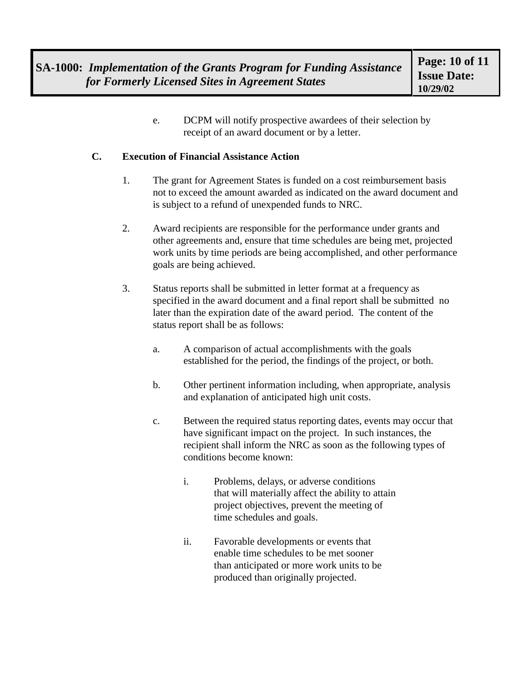e. DCPM will notify prospective awardees of their selection by receipt of an award document or by a letter.

#### **C. Execution of Financial Assistance Action**

- 1. The grant for Agreement States is funded on a cost reimbursement basis not to exceed the amount awarded as indicated on the award document and is subject to a refund of unexpended funds to NRC.
- 2. Award recipients are responsible for the performance under grants and other agreements and, ensure that time schedules are being met, projected work units by time periods are being accomplished, and other performance goals are being achieved.
- 3. Status reports shall be submitted in letter format at a frequency as specified in the award document and a final report shall be submitted no later than the expiration date of the award period. The content of the status report shall be as follows:
	- a. A comparison of actual accomplishments with the goals established for the period, the findings of the project, or both.
	- b. Other pertinent information including, when appropriate, analysis and explanation of anticipated high unit costs.
	- c. Between the required status reporting dates, events may occur that have significant impact on the project. In such instances, the recipient shall inform the NRC as soon as the following types of conditions become known:
		- i. Problems, delays, or adverse conditions that will materially affect the ability to attain project objectives, prevent the meeting of time schedules and goals.
		- ii. Favorable developments or events that enable time schedules to be met sooner than anticipated or more work units to be produced than originally projected.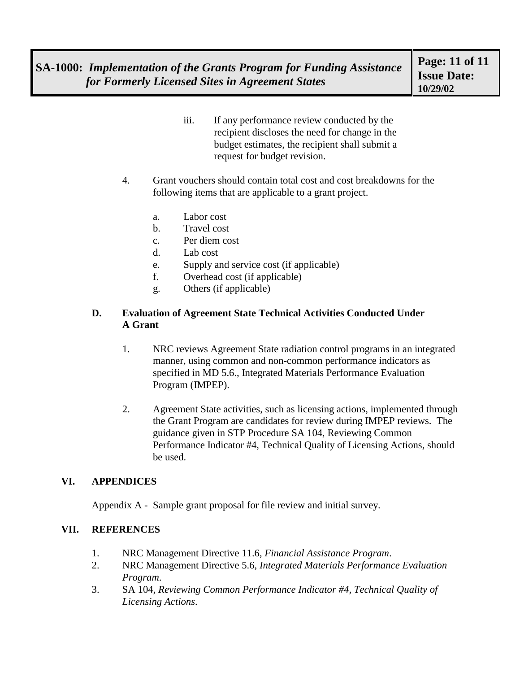- iii. If any performance review conducted by the recipient discloses the need for change in the budget estimates, the recipient shall submit a request for budget revision.
- 4. Grant vouchers should contain total cost and cost breakdowns for the following items that are applicable to a grant project.
	- a. Labor cost
	- b. Travel cost
	- c. Per diem cost
	- d. Lab cost
	- e. Supply and service cost (if applicable)
	- f. Overhead cost (if applicable)
	- g. Others (if applicable)

#### **D. Evaluation of Agreement State Technical Activities Conducted Under A Grant**

- 1. NRC reviews Agreement State radiation control programs in an integrated manner, using common and non-common performance indicators as specified in MD 5.6., Integrated Materials Performance Evaluation Program (IMPEP).
- 2. Agreement State activities, such as licensing actions, implemented through the Grant Program are candidates for review during IMPEP reviews. The guidance given in STP Procedure SA 104, Reviewing Common Performance Indicator #4, Technical Quality of Licensing Actions, should be used.

## **VI. APPENDICES**

Appendix A - Sample grant proposal for file review and initial survey.

#### **VII. REFERENCES**

- 1. NRC Management Directive 11.6, *Financial Assistance Program*.
- 2. NRC Management Directive 5.6, *Integrated Materials Performance Evaluation Program*.
- 3. SA 104, *Reviewing Common Performance Indicator #4, Technical Quality of Licensing Actions*.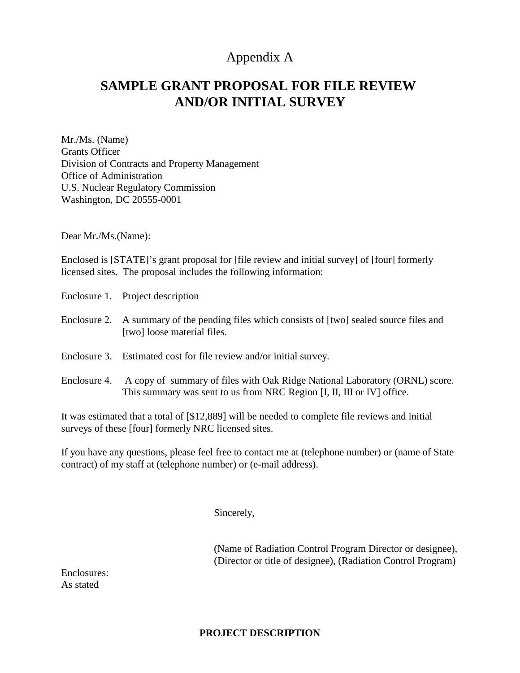## Appendix A

# **SAMPLE GRANT PROPOSAL FOR FILE REVIEW AND/OR INITIAL SURVEY**

Mr./Ms. (Name) Grants Officer Division of Contracts and Property Management Office of Administration U.S. Nuclear Regulatory Commission Washington, DC 20555-0001

Dear Mr./Ms.(Name):

Enclosed is [STATE]'s grant proposal for [file review and initial survey] of [four] formerly licensed sites. The proposal includes the following information:

- Enclosure 1. Project description
- Enclosure 2. A summary of the pending files which consists of [two] sealed source files and [two] loose material files.
- Enclosure 3. Estimated cost for file review and/or initial survey.
- Enclosure 4. A copy of summary of files with Oak Ridge National Laboratory (ORNL) score. This summary was sent to us from NRC Region [I, II, III or IV] office.

It was estimated that a total of [\$12,889] will be needed to complete file reviews and initial surveys of these [four] formerly NRC licensed sites.

If you have any questions, please feel free to contact me at (telephone number) or (name of State contract) of my staff at (telephone number) or (e-mail address).

Sincerely,

(Name of Radiation Control Program Director or designee), (Director or title of designee), (Radiation Control Program)

Enclosures: As stated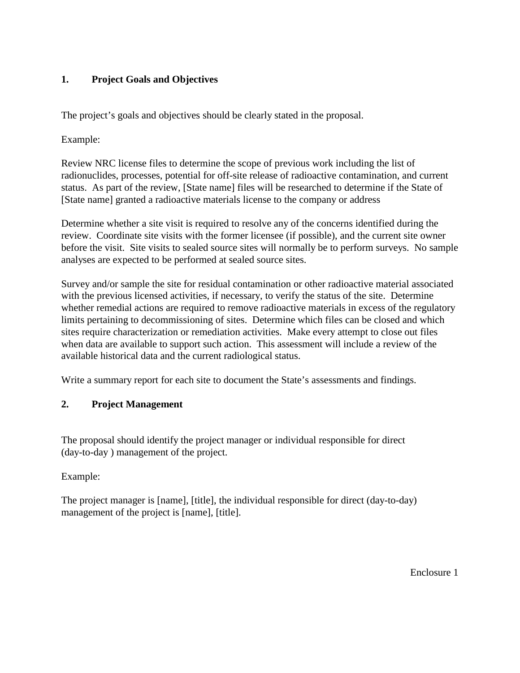## **1. Project Goals and Objectives**

The project's goals and objectives should be clearly stated in the proposal.

Example:

Review NRC license files to determine the scope of previous work including the list of radionuclides, processes, potential for off-site release of radioactive contamination, and current status. As part of the review, [State name] files will be researched to determine if the State of [State name] granted a radioactive materials license to the company or address

Determine whether a site visit is required to resolve any of the concerns identified during the review. Coordinate site visits with the former licensee (if possible), and the current site owner before the visit. Site visits to sealed source sites will normally be to perform surveys. No sample analyses are expected to be performed at sealed source sites.

Survey and/or sample the site for residual contamination or other radioactive material associated with the previous licensed activities, if necessary, to verify the status of the site. Determine whether remedial actions are required to remove radioactive materials in excess of the regulatory limits pertaining to decommissioning of sites. Determine which files can be closed and which sites require characterization or remediation activities. Make every attempt to close out files when data are available to support such action. This assessment will include a review of the available historical data and the current radiological status.

Write a summary report for each site to document the State's assessments and findings.

## **2. Project Management**

The proposal should identify the project manager or individual responsible for direct (day-to-day ) management of the project.

Example:

The project manager is [name], [title], the individual responsible for direct (day-to-day) management of the project is [name], [title].

Enclosure 1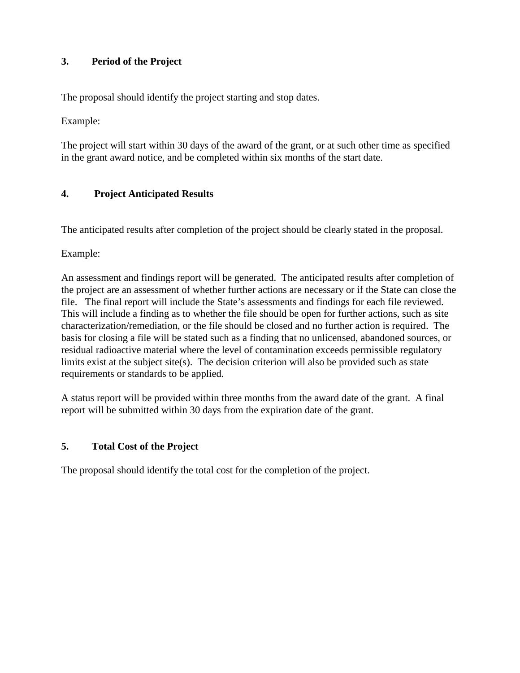## **3. Period of the Project**

The proposal should identify the project starting and stop dates.

Example:

The project will start within 30 days of the award of the grant, or at such other time as specified in the grant award notice, and be completed within six months of the start date.

### **4. Project Anticipated Results**

The anticipated results after completion of the project should be clearly stated in the proposal.

Example:

An assessment and findings report will be generated. The anticipated results after completion of the project are an assessment of whether further actions are necessary or if the State can close the file. The final report will include the State's assessments and findings for each file reviewed. This will include a finding as to whether the file should be open for further actions, such as site characterization/remediation, or the file should be closed and no further action is required. The basis for closing a file will be stated such as a finding that no unlicensed, abandoned sources, or residual radioactive material where the level of contamination exceeds permissible regulatory limits exist at the subject site(s). The decision criterion will also be provided such as state requirements or standards to be applied.

A status report will be provided within three months from the award date of the grant. A final report will be submitted within 30 days from the expiration date of the grant.

#### **5. Total Cost of the Project**

The proposal should identify the total cost for the completion of the project.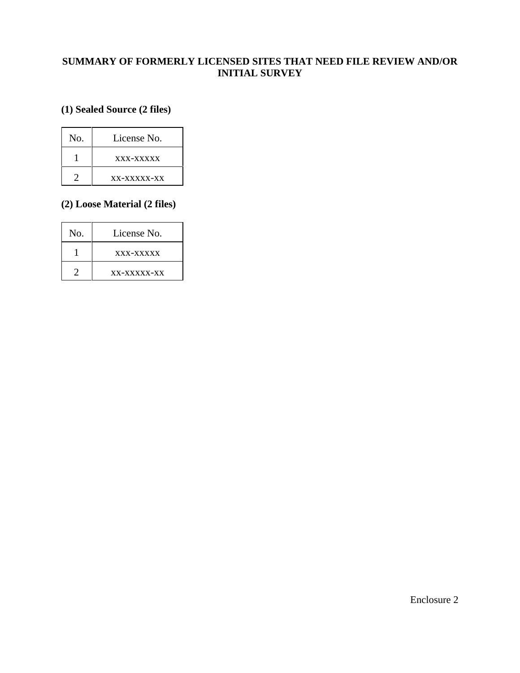### **SUMMARY OF FORMERLY LICENSED SITES THAT NEED FILE REVIEW AND/OR INITIAL SURVEY**

## **(1) Sealed Source (2 files)**

| No. | License No.   |
|-----|---------------|
|     | xxx-xxxxx     |
|     | $XX-XXXXX-XX$ |

### **(2) Loose Material (2 files)**

| No. | License No. |  |
|-----|-------------|--|
|     | xxx-xxxxx   |  |
|     | xx-xxxxx-xx |  |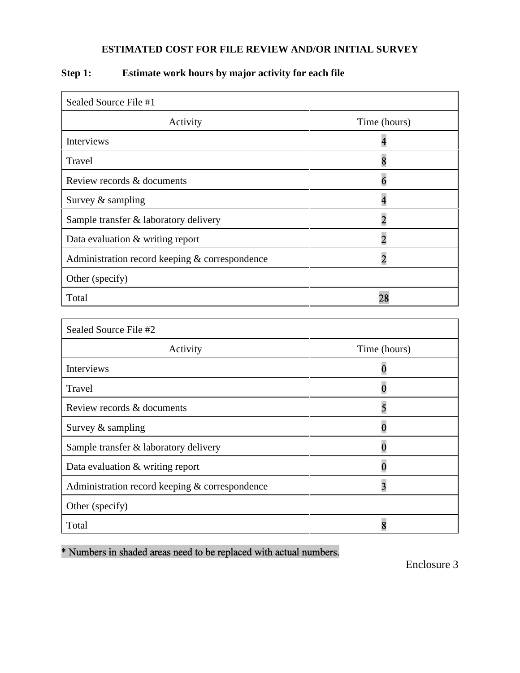## **ESTIMATED COST FOR FILE REVIEW AND/OR INITIAL SURVEY**

| Sealed Source File #1                          |                         |
|------------------------------------------------|-------------------------|
| Activity                                       | Time (hours)            |
| <b>Interviews</b>                              |                         |
| Travel                                         | 8                       |
| Review records & documents                     | 6                       |
| Survey & sampling                              | $\overline{\mathbf{4}}$ |
| Sample transfer & laboratory delivery          | $\overline{2}$          |
| Data evaluation & writing report               | $\overline{2}$          |
| Administration record keeping & correspondence | $\overline{2}$          |
| Other (specify)                                |                         |
| Total                                          | 28                      |
|                                                |                         |
| Sealed Source File #2                          |                         |
| Activity                                       | Time (hours)            |
| <b>Interviews</b>                              | 0                       |
| <b>Travel</b>                                  | 0                       |
| Review records & documents                     | 5                       |
| Survey & sampling                              | $\overline{0}$          |
| Sample transfer & laboratory delivery          | $\overline{0}$          |
| Data evaluation & writing report               | $\bf{0}$                |
| Administration record keeping & correspondence | $\overline{\mathbf{3}}$ |
| Other (specify)                                |                         |
| Total                                          | 8                       |

## **Step 1: Estimate work hours by major activity for each file**

\* Numbers in shaded areas need to be replaced with actual numbers.

Enclosure 3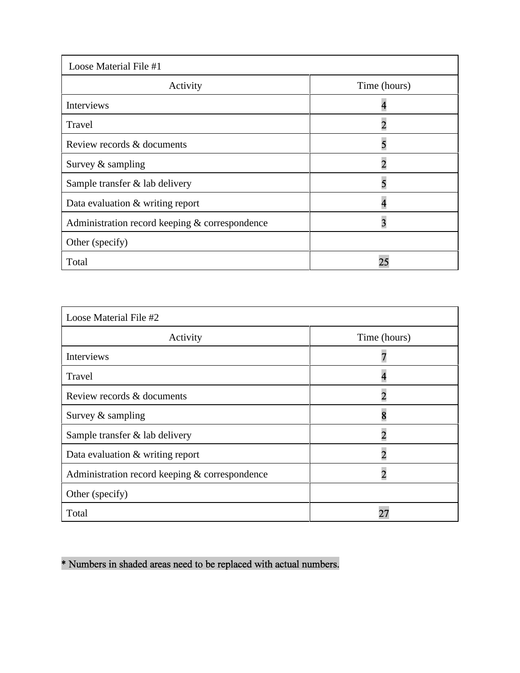| Loose Material File #1                         |              |  |  |
|------------------------------------------------|--------------|--|--|
| Activity                                       | Time (hours) |  |  |
| Interviews                                     |              |  |  |
| Travel                                         |              |  |  |
| Review records & documents                     |              |  |  |
| Survey $&$ sampling                            | 2            |  |  |
| Sample transfer & lab delivery                 | 5            |  |  |
| Data evaluation & writing report               |              |  |  |
| Administration record keeping & correspondence | 3            |  |  |
| Other (specify)                                |              |  |  |
| Total                                          | 21           |  |  |

| Loose Material File #2                         |              |  |  |
|------------------------------------------------|--------------|--|--|
| Activity                                       | Time (hours) |  |  |
| Interviews                                     |              |  |  |
| Travel                                         |              |  |  |
| Review records & documents                     |              |  |  |
| Survey $&$ sampling                            |              |  |  |
| Sample transfer & lab delivery                 |              |  |  |
| Data evaluation & writing report               | 2            |  |  |
| Administration record keeping & correspondence |              |  |  |
| Other (specify)                                |              |  |  |
| Total                                          |              |  |  |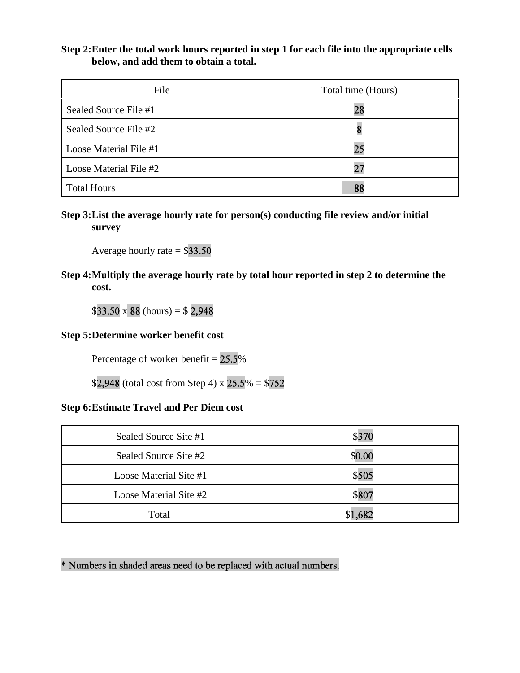#### **Step 2:Enter the total work hours reported in step 1 for each file into the appropriate cells below, and add them to obtain a total.**

| File                   | Total time (Hours) |
|------------------------|--------------------|
| Sealed Source File #1  | 28                 |
| Sealed Source File #2  |                    |
| Loose Material File #1 | 25                 |
| Loose Material File #2 | 27                 |
| <b>Total Hours</b>     | 88                 |

**Step 3:List the average hourly rate for person(s) conducting file review and/or initial survey** 

Average hourly rate  $= $33.50$ 

**Step 4:Multiply the average hourly rate by total hour reported in step 2 to determine the cost.**

 $$33.50 \times 88 \text{ (hours)} = $2,948$ 

#### **Step 5:Determine worker benefit cost**

Percentage of worker benefit  $= 25.5\%$ 

\$2,948 (total cost from Step 4) x  $25.5\% = $752$ 

#### **Step 6:Estimate Travel and Per Diem cost**

| Sealed Source Site #1  | \$370   |
|------------------------|---------|
| Sealed Source Site #2  | \$0.00  |
| Loose Material Site #1 | \$505   |
| Loose Material Site #2 | \$807   |
| Total                  | \$1,682 |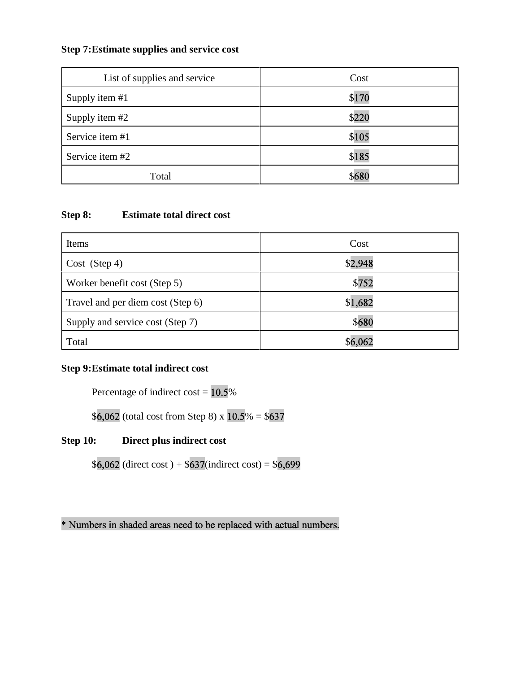## **Step 7:Estimate supplies and service cost**

| List of supplies and service | Cost  |
|------------------------------|-------|
| Supply item #1               | \$170 |
| Supply item #2               | \$220 |
| Service item #1              | \$105 |
| Service item #2              | \$185 |
| Total                        | \$680 |

#### **Step 8: Estimate total direct cost**

| Items                             | Cost    |
|-----------------------------------|---------|
| Cost (Step 4)                     | \$2,948 |
| Worker benefit cost (Step 5)      | \$752   |
| Travel and per diem cost (Step 6) | \$1,682 |
| Supply and service cost (Step 7)  | \$680   |
| Total                             |         |

### **Step 9:Estimate total indirect cost**

Percentage of indirect cost  $= 10.5\%$ 

 $$6,062$  (total cost from Step 8) x  $10.5\% = $637$ 

## **Step 10: Direct plus indirect cost**

 $$6,062$  (direct cost) +  $$637$ (indirect cost) =  $$6,699$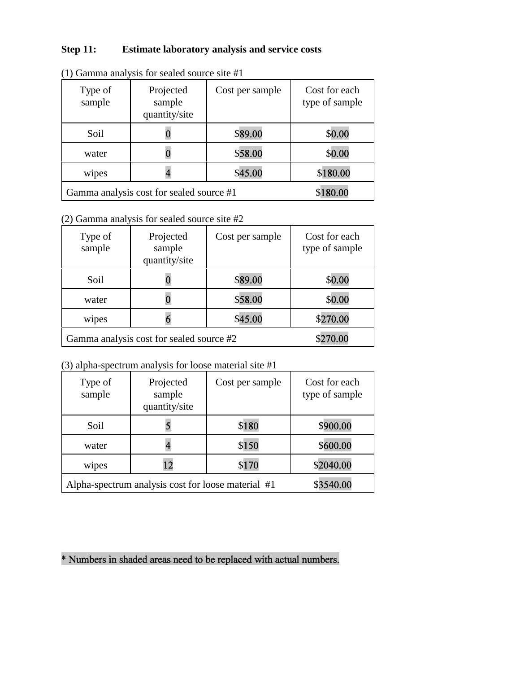## **Step 11: Estimate laboratory analysis and service costs**

| Type of<br>sample                        | Projected<br>sample<br>quantity/site | Cost per sample | Cost for each<br>type of sample |
|------------------------------------------|--------------------------------------|-----------------|---------------------------------|
| Soil                                     |                                      | \$89.00         | \$0.00                          |
| water                                    |                                      | \$58.00         | \$0.00                          |
| wipes                                    |                                      | \$45.00         | \$180.00                        |
| Gamma analysis cost for sealed source #1 |                                      |                 | \$180.00                        |

(1) Gamma analysis for sealed source site #1

(2) Gamma analysis for sealed source site #2

| Type of<br>sample                        | Projected<br>sample<br>quantity/site | Cost per sample | Cost for each<br>type of sample |
|------------------------------------------|--------------------------------------|-----------------|---------------------------------|
| Soil                                     |                                      | \$89.00         | \$0.00                          |
| water                                    |                                      | \$58.00         | \$0.00                          |
| wipes                                    |                                      | \$45.00         | \$270.00                        |
| Gamma analysis cost for sealed source #2 |                                      |                 | \$270.00                        |

#### (3) alpha-spectrum analysis for loose material site #1

| Type of<br>sample                                  | Projected<br>sample<br>quantity/site | Cost per sample | Cost for each<br>type of sample |
|----------------------------------------------------|--------------------------------------|-----------------|---------------------------------|
| Soil                                               |                                      | \$180           | \$900.00                        |
| water                                              |                                      | \$150           | \$600.00                        |
| wipes                                              | 12                                   | \$170           | \$2040.00                       |
| Alpha-spectrum analysis cost for loose material #1 | \$3540.00                            |                 |                                 |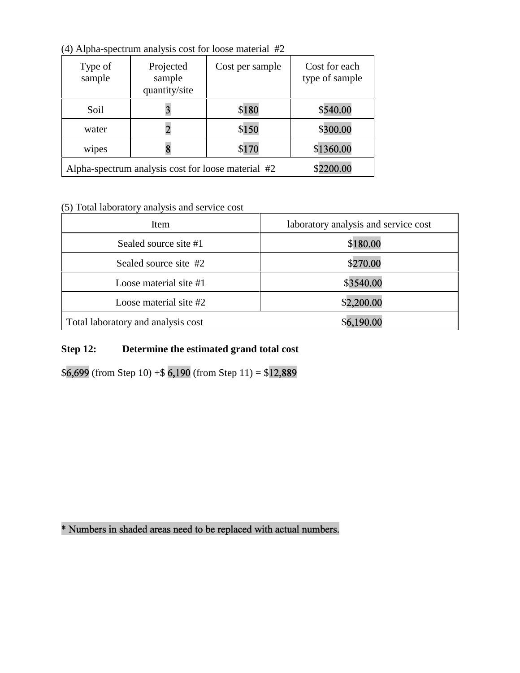| $(1)$ Then specified and you cost for toose material $\pi Z$ |                                      |                 |                                 |  |  |  |
|--------------------------------------------------------------|--------------------------------------|-----------------|---------------------------------|--|--|--|
| Type of<br>sample                                            | Projected<br>sample<br>quantity/site | Cost per sample | Cost for each<br>type of sample |  |  |  |
| Soil                                                         |                                      | \$180           | \$540.00                        |  |  |  |
| water                                                        |                                      | \$150           | \$300.00                        |  |  |  |
| wipes                                                        |                                      | \$170           | \$1360.00                       |  |  |  |
| Alpha-spectrum analysis cost for loose material #2           | \$2200.00                            |                 |                                 |  |  |  |

(4) Alpha-spectrum analysis cost for loose material #2

### (5) Total laboratory analysis and service cost

| Item                               | laboratory analysis and service cost |  |
|------------------------------------|--------------------------------------|--|
| Sealed source site #1              | \$180.00                             |  |
| Sealed source site #2              | \$270.00                             |  |
| Loose material site #1             | \$3540.00                            |  |
| Loose material site #2             | \$2,200.00                           |  |
| Total laboratory and analysis cost | \$6,190.00                           |  |

## **Step 12: Determine the estimated grand total cost**

 $$6,699$  (from Step 10) + \$6,190 (from Step 11) = \$12,889